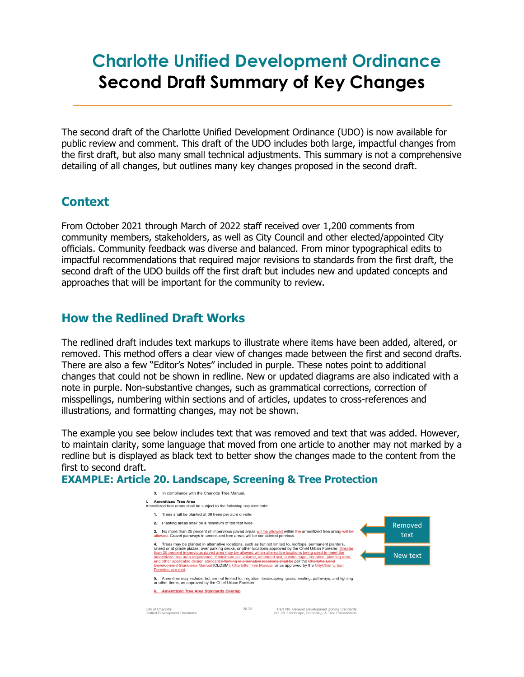# **Charlotte Unified Development Ordinance Second Draft Summary of Key Changes**

The second draft of the Charlotte Unified Development Ordinance (UDO) is now available for public review and comment. This draft of the UDO includes both large, impactful changes from the first draft, but also many small technical adjustments. This summary is not a comprehensive detailing of all changes, but outlines many key changes proposed in the second draft.

## **Context**

From October 2021 through March of 2022 staff received over 1,200 comments from community members, stakeholders, as well as City Council and other elected/appointed City officials. Community feedback was diverse and balanced. From minor typographical edits to impactful recommendations that required major revisions to standards from the first draft, the second draft of the UDO builds off the first draft but includes new and updated concepts and approaches that will be important for the community to review.

## **How the Redlined Draft Works**

The redlined draft includes text markups to illustrate where items have been added, altered, or removed. This method offers a clear view of changes made between the first and second drafts. There are also a few "Editor's Notes" included in purple. These notes point to additional changes that could not be shown in redline. New or updated diagrams are also indicated with a note in purple. Non-substantive changes, such as grammatical corrections, correction of misspellings, numbering within sections and of articles, updates to cross-references and illustrations, and formatting changes, may not be shown.

The example you see below includes text that was removed and text that was added. However, to maintain clarity, some language that moved from one article to another may not marked by a redline but is displayed as black text to better show the changes made to the content from the first to second draft.

#### **EXAMPLE: Article 20. Landscape, Screening & Tree Protection**

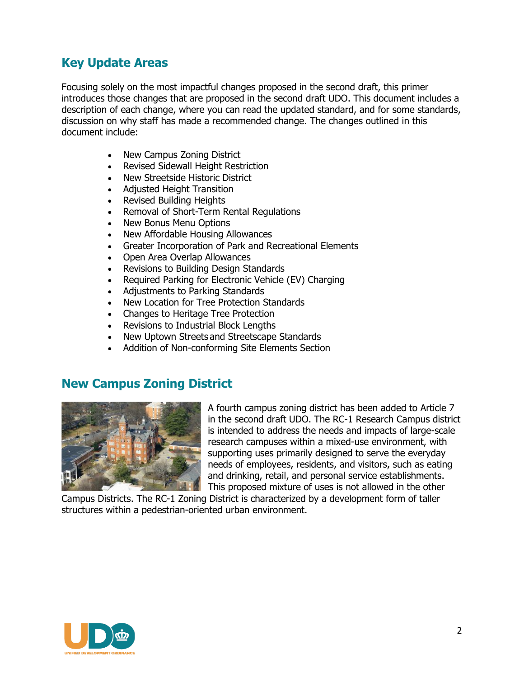## **Key Update Areas**

Focusing solely on the most impactful changes proposed in the second draft, this primer introduces those changes that are proposed in the second draft UDO. This document includes a description of each change, where you can read the updated standard, and for some standards, discussion on why staff has made a recommended change. The changes outlined in this document include:

- New Campus Zoning District
- Revised Sidewall Height Restriction
- New Streetside Historic District
- Adjusted Height Transition
- Revised Building Heights
- Removal of Short-Term Rental Regulations
- New Bonus Menu Options
- New Affordable Housing Allowances
- Greater Incorporation of Park and Recreational Elements
- Open Area Overlap Allowances
- Revisions to Building Design Standards
- Required Parking for Electronic Vehicle (EV) Charging
- Adjustments to Parking Standards
- New Location for Tree Protection Standards
- Changes to Heritage Tree Protection
- Revisions to Industrial Block Lengths
- New Uptown Streets and Streetscape Standards
- Addition of Non-conforming Site Elements Section

## **New Campus Zoning District**



A fourth campus zoning district has been added to Article 7 in the second draft UDO. The RC-1 Research Campus district is intended to address the needs and impacts of large-scale research campuses within a mixed-use environment, with supporting uses primarily designed to serve the everyday needs of employees, residents, and visitors, such as eating and drinking, retail, and personal service establishments. This proposed mixture of uses is not allowed in the other

Campus Districts. The RC-1 Zoning District is characterized by a development form of taller structures within a pedestrian-oriented urban environment.

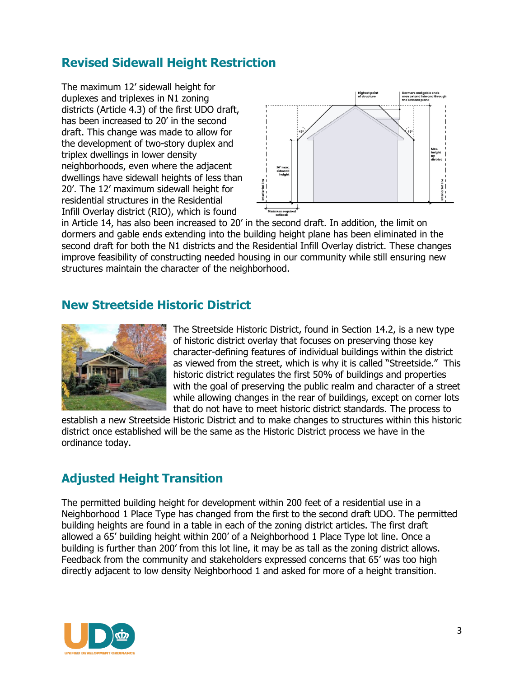## **Revised Sidewall Height Restriction**

The maximum 12' sidewall height for duplexes and triplexes in N1 zoning districts (Article 4.3) of the first UDO draft, has been increased to 20' in the second draft. This change was made to allow for the development of two-story duplex and triplex dwellings in lower density neighborhoods, even where the adjacent dwellings have sidewall heights of less than 20'. The 12' maximum sidewall height for residential structures in the Residential Infill Overlay district (RIO), which is found



in Article 14, has also been increased to 20' in the second draft. In addition, the limit on dormers and gable ends extending into the building height plane has been eliminated in the second draft for both the N1 districts and the Residential Infill Overlay district. These changes improve feasibility of constructing needed housing in our community while still ensuring new structures maintain the character of the neighborhood.

#### **New Streetside Historic District**



The Streetside Historic District, found in Section 14.2, is a new type of historic district overlay that focuses on preserving those key character-defining features of individual buildings within the district as viewed from the street, which is why it is called "Streetside." This historic district regulates the first 50% of buildings and properties with the goal of preserving the public realm and character of a street while allowing changes in the rear of buildings, except on corner lots that do not have to meet historic district standards. The process to

establish a new Streetside Historic District and to make changes to structures within this historic district once established will be the same as the Historic District process we have in the ordinance today.

## **Adjusted Height Transition**

The permitted building height for development within 200 feet of a residential use in a Neighborhood 1 Place Type has changed from the first to the second draft UDO. The permitted building heights are found in a table in each of the zoning district articles. The first draft allowed a 65' building height within 200' of a Neighborhood 1 Place Type lot line. Once a building is further than 200' from this lot line, it may be as tall as the zoning district allows. Feedback from the community and stakeholders expressed concerns that 65' was too high directly adjacent to low density Neighborhood 1 and asked for more of a height transition.

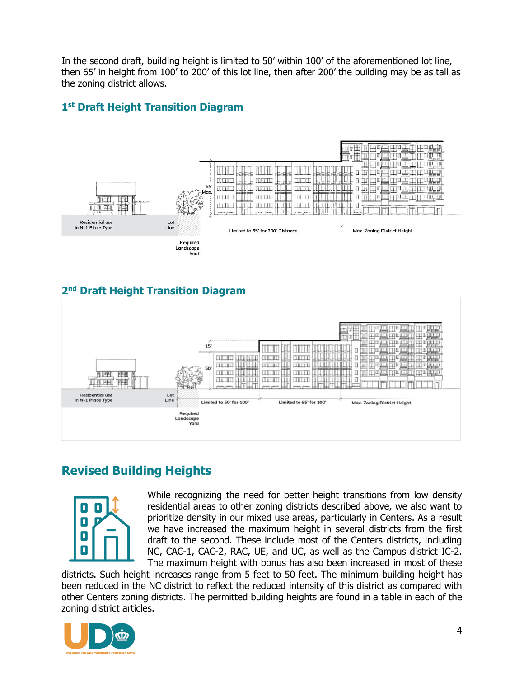In the second draft, building height is limited to 50' within 100' of the aforementioned lot line, then 65' in height from 100' to 200' of this lot line, then after 200' the building may be as tall as the zoning district allows.

#### **1 st Draft Height Transition Diagram**



## **2 nd Draft Height Transition Diagram**



# **Revised Building Heights**



While recognizing the need for better height transitions from low density residential areas to other zoning districts described above, we also want to prioritize density in our mixed use areas, particularly in Centers. As a result we have increased the maximum height in several districts from the first draft to the second. These include most of the Centers districts, including NC, CAC-1, CAC-2, RAC, UE, and UC, as well as the Campus district IC-2. The maximum height with bonus has also been increased in most of these

districts. Such height increases range from 5 feet to 50 feet. The minimum building height has been reduced in the NC district to reflect the reduced intensity of this district as compared with other Centers zoning districts. The permitted building heights are found in a table in each of the zoning district articles.

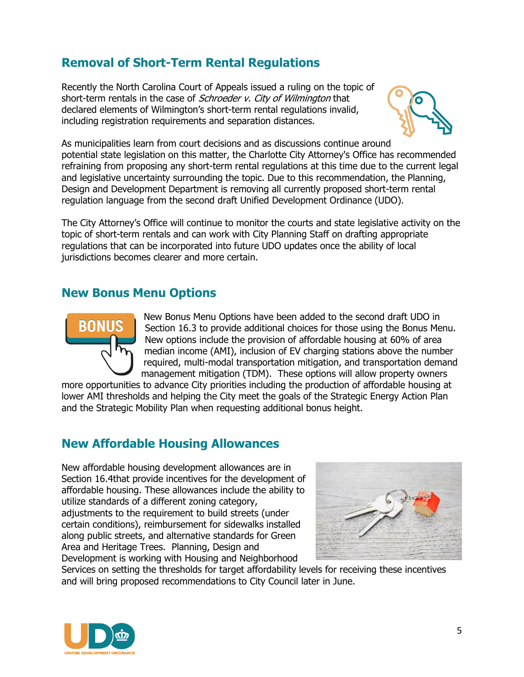# **Removal of Short-Term Rental Regulations**

Recently the North Carolina Court of Appeals issued a ruling on the topic of short-term rentals in the case of *Schroeder v. City of Wilmington* that declared elements of Wilmington's short-term rental regulations invalid, including registration requirements and separation distances.



As municipalities learn from court decisions and as discussions continue around potential state legislation on this matter, the Charlotte City Attorney's Office has recommended refraining from proposing any short-term rental regulations at this time due to the current legal and legislative uncertainty surrounding the topic. Due to this recommendation, the Planning, Design and Development Department is removing all currently proposed short-term rental regulation language from the second draft Unified Development Ordinance (UDO).

The City Attorney's Office will continue to monitor the courts and state legislative activity on the topic of short-term rentals and can work with City Planning Staff on drafting appropriate regulations that can be incorporated into future UDO updates once the ability of local jurisdictions becomes clearer and more certain.

#### **New Bonus Menu Options**



New Bonus Menu Options have been added to the second draft UDO in Section 16.3 to provide additional choices for those using the Bonus Menu. New options include the provision of affordable housing at 60% of area median income (AMI), inclusion of EV charging stations above the number required, multi-modal transportation mitigation, and transportation demand management mitigation (TDM). These options will allow property owners

more opportunities to advance City priorities including the production of affordable housing at lower AMI thresholds and helping the City meet the goals of the Strategic Energy Action Plan and the Strategic Mobility Plan when requesting additional bonus height.

## **New Affordable Housing Allowances**

New affordable housing development allowances are in Section 16.4that provide incentives for the development of affordable housing. These allowances include the ability to utilize standards of a different zoning category, adjustments to the requirement to build streets (under certain conditions), reimbursement for sidewalks installed along public streets, and alternative standards for Green Area and Heritage Trees. Planning, Design and Development is working with Housing and Neighborhood



Services on setting the thresholds for target affordability levels for receiving these incentives and will bring proposed recommendations to City Council later in June.

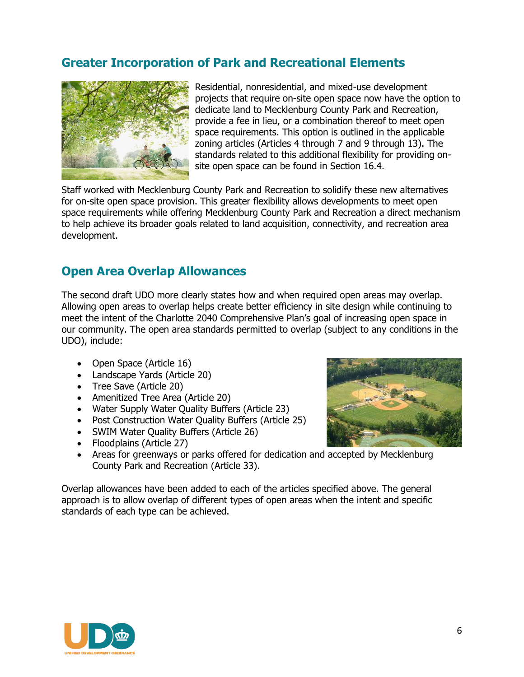## **Greater Incorporation of Park and Recreational Elements**



Residential, nonresidential, and mixed-use development projects that require on-site open space now have the option to dedicate land to Mecklenburg County Park and Recreation, provide a fee in lieu, or a combination thereof to meet open space requirements. This option is outlined in the applicable zoning articles (Articles 4 through 7 and 9 through 13). The standards related to this additional flexibility for providing onsite open space can be found in Section 16.4.

Staff worked with Mecklenburg County Park and Recreation to solidify these new alternatives for on-site open space provision. This greater flexibility allows developments to meet open space requirements while offering Mecklenburg County Park and Recreation a direct mechanism to help achieve its broader goals related to land acquisition, connectivity, and recreation area development.

#### **Open Area Overlap Allowances**

The second draft UDO more clearly states how and when required open areas may overlap. Allowing open areas to overlap helps create better efficiency in site design while continuing to meet the intent of the Charlotte 2040 Comprehensive Plan's goal of increasing open space in our community. The open area standards permitted to overlap (subject to any conditions in the UDO), include:

- Open Space (Article 16)
- Landscape Yards (Article 20)
- Tree Save (Article 20)
- Amenitized Tree Area (Article 20)
- Water Supply Water Quality Buffers (Article 23)
- Post Construction Water Quality Buffers (Article 25)
- SWIM Water Quality Buffers (Article 26)
- Floodplains (Article 27)
- Areas for greenways or parks offered for dedication and accepted by Mecklenburg County Park and Recreation (Article 33).

Overlap allowances have been added to each of the articles specified above. The general approach is to allow overlap of different types of open areas when the intent and specific standards of each type can be achieved.



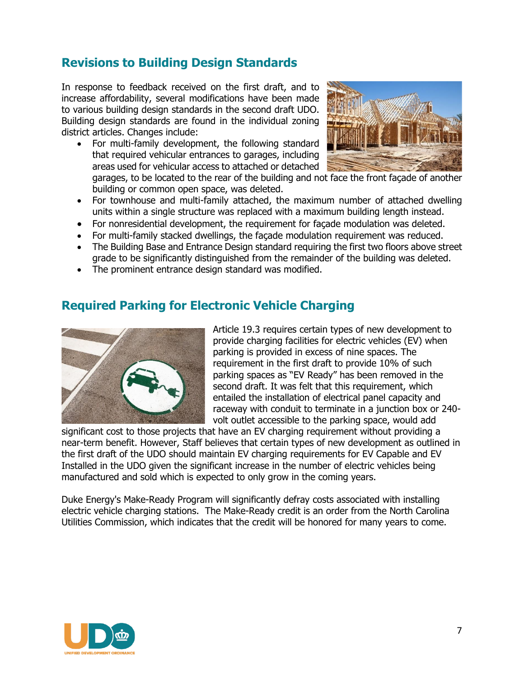## **Revisions to Building Design Standards**

In response to feedback received on the first draft, and to increase affordability, several modifications have been made to various building design standards in the second draft UDO. Building design standards are found in the individual zoning district articles. Changes include:

• For multi-family development, the following standard that required vehicular entrances to garages, including areas used for vehicular access to attached or detached



garages, to be located to the rear of the building and not face the front façade of another building or common open space, was deleted.

- For townhouse and multi-family attached, the maximum number of attached dwelling units within a single structure was replaced with a maximum building length instead.
- For nonresidential development, the requirement for façade modulation was deleted.
- For multi-family stacked dwellings, the façade modulation requirement was reduced.
- The Building Base and Entrance Design standard requiring the first two floors above street grade to be significantly distinguished from the remainder of the building was deleted.
- The prominent entrance design standard was modified.

#### **Required Parking for Electronic Vehicle Charging**



Article 19.3 requires certain types of new development to provide charging facilities for electric vehicles (EV) when parking is provided in excess of nine spaces. The requirement in the first draft to provide 10% of such parking spaces as "EV Ready" has been removed in the second draft. It was felt that this requirement, which entailed the installation of electrical panel capacity and raceway with conduit to terminate in a junction box or 240 volt outlet accessible to the parking space, would add

significant cost to those projects that have an EV charging requirement without providing a near-term benefit. However, Staff believes that certain types of new development as outlined in the first draft of the UDO should maintain EV charging requirements for EV Capable and EV Installed in the UDO given the significant increase in the number of electric vehicles being manufactured and sold which is expected to only grow in the coming years.

Duke Energy's Make-Ready Program will significantly defray costs associated with installing electric vehicle charging stations. The Make-Ready credit is an order from the North Carolina Utilities Commission, which indicates that the credit will be honored for many years to come.

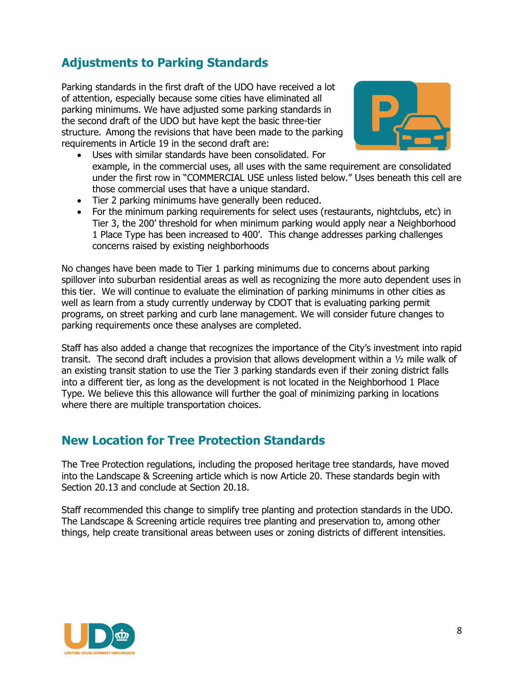# **Adjustments to Parking Standards**

Parking standards in the first draft of the UDO have received a lot of attention, especially because some cities have eliminated all parking minimums. We have adjusted some parking standards in the second draft of the UDO but have kept the basic three-tier structure. Among the revisions that have been made to the parking requirements in Article 19 in the second draft are:



- Uses with similar standards have been consolidated. For example, in the commercial uses, all uses with the same requirement are consolidated under the first row in "COMMERCIAL USE unless listed below." Uses beneath this cell are those commercial uses that have a unique standard.
- Tier 2 parking minimums have generally been reduced.
- For the minimum parking requirements for select uses (restaurants, nightclubs, etc) in Tier 3, the 200' threshold for when minimum parking would apply near a Neighborhood 1 Place Type has been increased to 400'. This change addresses parking challenges concerns raised by existing neighborhoods

No changes have been made to Tier 1 parking minimums due to concerns about parking spillover into suburban residential areas as well as recognizing the more auto dependent uses in this tier. We will continue to evaluate the elimination of parking minimums in other cities as well as learn from a study currently underway by CDOT that is evaluating parking permit programs, on street parking and curb lane management. We will consider future changes to parking requirements once these analyses are completed.

Staff has also added a change that recognizes the importance of the City's investment into rapid transit. The second draft includes a provision that allows development within a ½ mile walk of an existing transit station to use the Tier 3 parking standards even if their zoning district falls into a different tier, as long as the development is not located in the Neighborhood 1 Place Type. We believe this this allowance will further the goal of minimizing parking in locations where there are multiple transportation choices.

## **New Location for Tree Protection Standards**

The Tree Protection regulations, including the proposed heritage tree standards, have moved into the Landscape & Screening article which is now Article 20. These standards begin with Section 20.13 and conclude at Section 20.18.

Staff recommended this change to simplify tree planting and protection standards in the UDO. The Landscape & Screening article requires tree planting and preservation to, among other things, help create transitional areas between uses or zoning districts of different intensities.

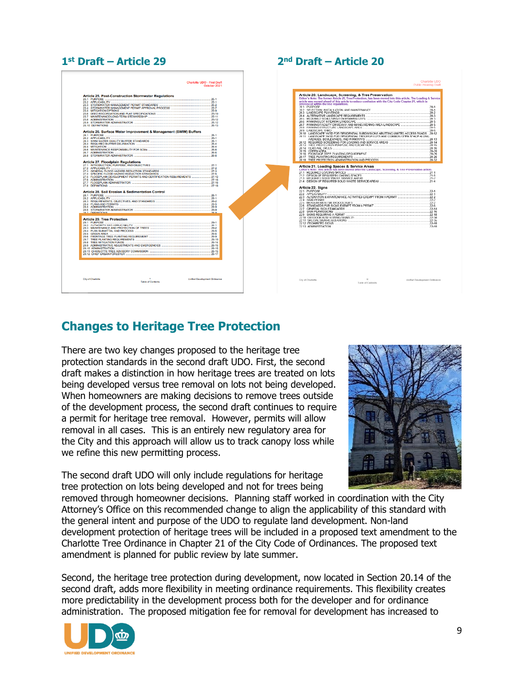#### **1 st Draft – Article 29 2**

#### **nd Draft – Article 20**



## **Changes to Heritage Tree Protection**

There are two key changes proposed to the heritage tree protection standards in the second draft UDO. First, the second draft makes a distinction in how heritage trees are treated on lots being developed versus tree removal on lots not being developed. When homeowners are making decisions to remove trees outside of the development process, the second draft continues to require a permit for heritage tree removal. However, permits will allow removal in all cases. This is an entirely new regulatory area for the City and this approach will allow us to track canopy loss while we refine this new permitting process.

The second draft UDO will only include regulations for heritage tree protection on lots being developed and not for trees being



removed through homeowner decisions. Planning staff worked in coordination with the City Attorney's Office on this recommended change to align the applicability of this standard with the general intent and purpose of the UDO to regulate land development. Non-land development protection of heritage trees will be included in a proposed text amendment to the Charlotte Tree Ordinance in Chapter 21 of the City Code of Ordinances. The proposed text amendment is planned for public review by late summer.

Second, the heritage tree protection during development, now located in Section 20.14 of the second draft, adds more flexibility in meeting ordinance requirements. This flexibility creates more predictability in the development process both for the developer and for ordinance administration. The proposed mitigation fee for removal for development has increased to

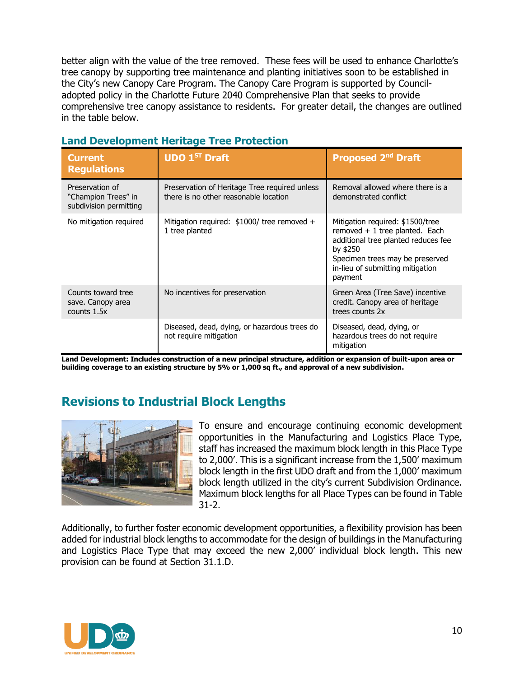better align with the value of the tree removed. These fees will be used to enhance Charlotte's tree canopy by supporting tree maintenance and planting initiatives soon to be established in the City's new Canopy Care Program. The Canopy Care Program is supported by Counciladopted policy in the Charlotte Future 2040 Comprehensive Plan that seeks to provide comprehensive tree canopy assistance to residents. For greater detail, the changes are outlined in the table below.

| <b>Current</b><br><b>Regulations</b>                             | <b>UDO 1ST Draft</b>                                                                   | <b>Proposed 2nd Draft</b>                                                                                                                                                                                |
|------------------------------------------------------------------|----------------------------------------------------------------------------------------|----------------------------------------------------------------------------------------------------------------------------------------------------------------------------------------------------------|
| Preservation of<br>"Champion Trees" in<br>subdivision permitting | Preservation of Heritage Tree required unless<br>there is no other reasonable location | Removal allowed where there is a<br>demonstrated conflict                                                                                                                                                |
| No mitigation required                                           | Mitigation required: $$1000/$ tree removed +<br>1 tree planted                         | Mitigation required: \$1500/tree<br>removed $+1$ tree planted. Each<br>additional tree planted reduces fee<br>by \$250<br>Specimen trees may be preserved<br>in-lieu of submitting mitigation<br>payment |
| Counts toward tree<br>save. Canopy area<br>counts 1.5x           | No incentives for preservation                                                         | Green Area (Tree Save) incentive<br>credit. Canopy area of heritage<br>trees counts 2x                                                                                                                   |
|                                                                  | Diseased, dead, dying, or hazardous trees do<br>not require mitigation                 | Diseased, dead, dying, or<br>hazardous trees do not require<br>mitigation                                                                                                                                |

#### **Land Development Heritage Tree Protection**

**Land Development: Includes construction of a new principal structure, addition or expansion of built-upon area or building coverage to an existing structure by 5% or 1,000 sq ft., and approval of a new subdivision.**

## **Revisions to Industrial Block Lengths**



To ensure and encourage continuing economic development opportunities in the Manufacturing and Logistics Place Type, staff has increased the maximum block length in this Place Type to 2,000'. This is a significant increase from the 1,500' maximum block length in the first UDO draft and from the 1,000' maximum block length utilized in the city's current Subdivision Ordinance. Maximum block lengths for all Place Types can be found in Table 31-2.

Additionally, to further foster economic development opportunities, a flexibility provision has been added for industrial block lengths to accommodate for the design of buildings in the Manufacturing and Logistics Place Type that may exceed the new 2,000' individual block length. This new provision can be found at Section 31.1.D.